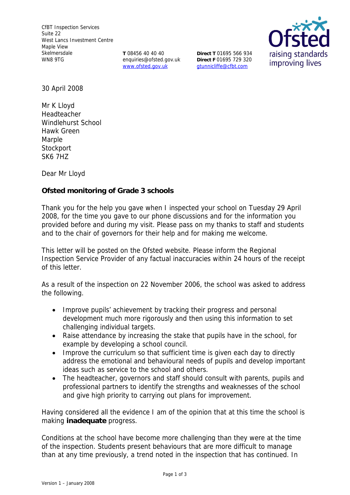**T** 08456 40 40 40 enquiries@ofsted.gov.uk www.ofsted.gov.uk

**Direct T** 01695 566 934 **Direct F** 01695 729 320 gtunnicliffe@cfbt.com



30 April 2008

Mr K Lloyd Headteacher Windlehurst School Hawk Green Marple **Stockport** SK6 7HZ

Dear Mr Lloyd

**Ofsted monitoring of Grade 3 schools** 

Thank you for the help you gave when I inspected your school on Tuesday 29 April 2008, for the time you gave to our phone discussions and for the information you provided before and during my visit. Please pass on my thanks to staff and students and to the chair of governors for their help and for making me welcome.

This letter will be posted on the Ofsted website. Please inform the Regional Inspection Service Provider of any factual inaccuracies within 24 hours of the receipt of this letter.

As a result of the inspection on 22 November 2006, the school was asked to address the following.

- Improve pupils' achievement by tracking their progress and personal development much more rigorously and then using this information to set challenging individual targets.
- Raise attendance by increasing the stake that pupils have in the school, for example by developing a school council.
- Improve the curriculum so that sufficient time is given each day to directly address the emotional and behavioural needs of pupils and develop important ideas such as service to the school and others.
- The headteacher, governors and staff should consult with parents, pupils and professional partners to identify the strengths and weaknesses of the school and give high priority to carrying out plans for improvement.

Having considered all the evidence I am of the opinion that at this time the school is making **inadequate** progress.

Conditions at the school have become more challenging than they were at the time of the inspection. Students present behaviours that are more difficult to manage than at any time previously, a trend noted in the inspection that has continued. In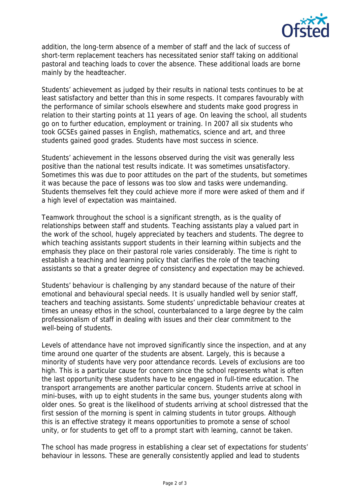

addition, the long-term absence of a member of staff and the lack of success of short-term replacement teachers has necessitated senior staff taking on additional pastoral and teaching loads to cover the absence. These additional loads are borne mainly by the headteacher.

Students' achievement as judged by their results in national tests continues to be at least satisfactory and better than this in some respects. It compares favourably with the performance of similar schools elsewhere and students make good progress in relation to their starting points at 11 years of age. On leaving the school, all students go on to further education, employment or training. In 2007 all six students who took GCSEs gained passes in English, mathematics, science and art, and three students gained good grades. Students have most success in science.

Students' achievement in the lessons observed during the visit was generally less positive than the national test results indicate. It was sometimes unsatisfactory. Sometimes this was due to poor attitudes on the part of the students, but sometimes it was because the pace of lessons was too slow and tasks were undemanding. Students themselves felt they could achieve more if more were asked of them and if a high level of expectation was maintained.

Teamwork throughout the school is a significant strength, as is the quality of relationships between staff and students. Teaching assistants play a valued part in the work of the school, hugely appreciated by teachers and students. The degree to which teaching assistants support students in their learning within subjects and the emphasis they place on their pastoral role varies considerably. The time is right to establish a teaching and learning policy that clarifies the role of the teaching assistants so that a greater degree of consistency and expectation may be achieved.

Students' behaviour is challenging by any standard because of the nature of their emotional and behavioural special needs. It is usually handled well by senior staff, teachers and teaching assistants. Some students' unpredictable behaviour creates at times an uneasy ethos in the school, counterbalanced to a large degree by the calm professionalism of staff in dealing with issues and their clear commitment to the well-being of students.

Levels of attendance have not improved significantly since the inspection, and at any time around one quarter of the students are absent. Largely, this is because a minority of students have very poor attendance records. Levels of exclusions are too high. This is a particular cause for concern since the school represents what is often the last opportunity these students have to be engaged in full-time education. The transport arrangements are another particular concern. Students arrive at school in mini-buses, with up to eight students in the same bus, younger students along with older ones. So great is the likelihood of students arriving at school distressed that the first session of the morning is spent in calming students in tutor groups. Although this is an effective strategy it means opportunities to promote a sense of school unity, or for students to get off to a prompt start with learning, cannot be taken.

The school has made progress in establishing a clear set of expectations for students' behaviour in lessons. These are generally consistently applied and lead to students